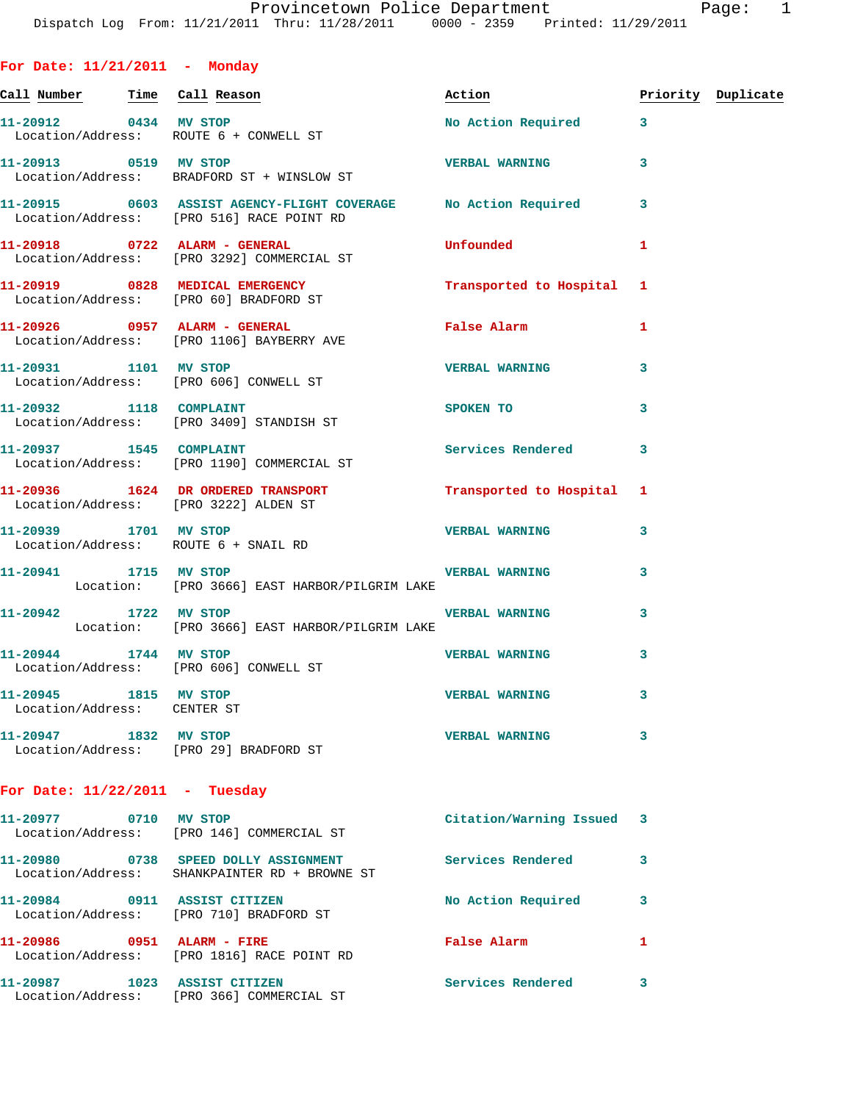|  |  | For Date: $11/21/2011$ |  | Monday |
|--|--|------------------------|--|--------|
|--|--|------------------------|--|--------|

|                                                      |                                                                                                               | Action                    |              | Priority Duplicate |
|------------------------------------------------------|---------------------------------------------------------------------------------------------------------------|---------------------------|--------------|--------------------|
|                                                      | 11-20912 0434 MV STOP<br>Location/Address: ROUTE 6 + CONWELL ST                                               | No Action Required 3      |              |                    |
|                                                      | 11-20913 0519 MV STOP<br>Location/Address: BRADFORD ST + WINSLOW ST                                           | VERBAL WARNING 3          |              |                    |
|                                                      | 11-20915 0603 ASSIST AGENCY-FLIGHT COVERAGE No Action Required 3<br>Location/Address: [PRO 516] RACE POINT RD |                           |              |                    |
|                                                      | 11-20918 0722 ALARM - GENERAL<br>Location/Address: [PRO 3292] COMMERCIAL ST                                   | <b>Unfounded</b>          | 1            |                    |
|                                                      | 11-20919 0828 MEDICAL EMERGENCY<br>Location/Address: [PRO 60] BRADFORD ST                                     | Transported to Hospital 1 |              |                    |
|                                                      | 11-20926 0957 ALARM - GENERAL<br>Location/Address: [PRO 1106] BAYBERRY AVE                                    | False Alarm               | 1            |                    |
|                                                      | 11-20931 1101 MV STOP<br>Location/Address: [PRO 606] CONWELL ST                                               | <b>VERBAL WARNING</b>     | 3            |                    |
|                                                      | 11-20932 1118 COMPLAINT<br>Location/Address: [PRO 3409] STANDISH ST                                           | <b>SPOKEN TO</b>          | 3            |                    |
|                                                      | 11-20937 1545 COMPLAINT<br>Location/Address: [PRO 1190] COMMERCIAL ST                                         | Services Rendered 3       |              |                    |
|                                                      | 11-20936 1624 DR ORDERED TRANSPORT Transported to Hospital 1<br>Location/Address: [PRO 3222] ALDEN ST         |                           |              |                    |
|                                                      | 11-20939 1701 MV STOP<br>Location/Address: ROUTE 6 + SNAIL RD                                                 | <b>VERBAL WARNING</b>     | 3            |                    |
|                                                      | 11-20941 1715 MV STOP 1200 VERBAL WARNING<br>Location: [PRO 3666] EAST HARBOR/PILGRIM LAKE                    |                           | 3            |                    |
| 11-20942 1722 MV STOP                                | Location: [PRO 3666] EAST HARBOR/PILGRIM LAKE                                                                 | <b>VERBAL WARNING</b>     | 3            |                    |
|                                                      | 11-20944 1744 MV STOP<br>Location/Address: [PRO 606] CONWELL ST                                               | <b>VERBAL WARNING</b>     | 3            |                    |
| 11-20945 1815 MV STOP<br>Location/Address: CENTER ST |                                                                                                               | <b>VERBAL WARNING</b>     | 3            |                    |
|                                                      | 11-20947 1832 MV STOP<br>Location/Address: [PRO 29] BRADFORD ST                                               | <b>VERBAL WARNING</b>     | 3            |                    |
| For Date: $11/22/2011$ - Tuesday                     |                                                                                                               |                           |              |                    |
|                                                      | 11-20977 0710 MV STOP<br>Location/Address: [PRO 146] COMMERCIAL ST                                            | Citation/Warning Issued 3 |              |                    |
|                                                      | 11-20980 0738 SPEED DOLLY ASSIGNMENT<br>Location/Address: SHANKPAINTER RD + BROWNE ST                         | Services Rendered         | 3            |                    |
|                                                      | 11-20984 0911 ASSIST CITIZEN<br>Location/Address: [PRO 710] BRADFORD ST                                       | No Action Required        | 3            |                    |
| 11-20986 0951 ALARM - FIRE                           | Location/Address: [PRO 1816] RACE POINT RD                                                                    | False Alarm               | $\mathbf{1}$ |                    |
| 11-20987 1023 ASSIST CITIZEN                         | Location/Address: [PRO 366] COMMERCIAL ST                                                                     | <b>Services Rendered</b>  | 3            |                    |
|                                                      |                                                                                                               |                           |              |                    |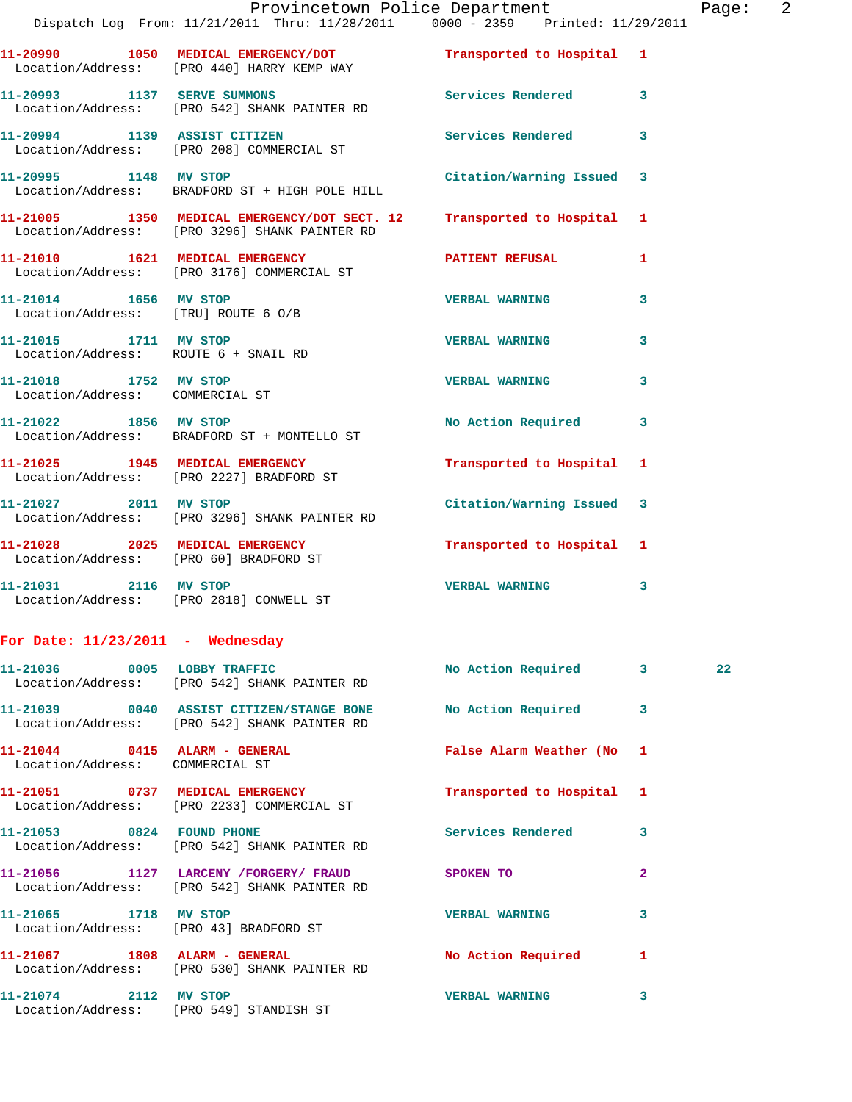|                                                                    | Dispatch Log From: 11/21/2011 Thru: 11/28/2011 0000 - 2359 Printed: 11/29/2011                                | Provincetown Police Department |                | Page: 2 |  |
|--------------------------------------------------------------------|---------------------------------------------------------------------------------------------------------------|--------------------------------|----------------|---------|--|
|                                                                    | 11-20990 1050 MEDICAL EMERGENCY/DOT Transported to Hospital 1<br>Location/Address: [PRO 440] HARRY KEMP WAY   |                                |                |         |  |
|                                                                    | 11-20993 1137 SERVE SUMMONS Services Rendered 3<br>Location/Address: [PRO 542] SHANK PAINTER RD               |                                |                |         |  |
|                                                                    | 11-20994 1139 ASSIST CITIZEN<br>Location/Address: [PRO 208] COMMERCIAL ST                                     | Services Rendered 3            |                |         |  |
| 11-20995 1148 MV STOP                                              | Location/Address: BRADFORD ST + HIGH POLE HILL                                                                | Citation/Warning Issued 3      |                |         |  |
|                                                                    | 11-21005 1350 MEDICAL EMERGENCY/DOT SECT. 12<br>Location/Address: [PRO 3296] SHANK PAINTER RD                 | Transported to Hospital 1      |                |         |  |
|                                                                    | 11-21010 1621 MEDICAL EMERGENCY<br>Location/Address: [PRO 3176] COMMERCIAL ST                                 | PATIENT REFUSAL                | $\mathbf{1}$   |         |  |
| 11-21014 1656 MV STOP<br>Location/Address: [TRU] ROUTE 6 O/B       |                                                                                                               | <b>VERBAL WARNING</b>          | $\mathbf{3}$   |         |  |
| Location/Address: ROUTE 6 + SNAIL RD                               | 11-21015 1711 MV STOP                                                                                         | <b>VERBAL WARNING</b>          | 3              |         |  |
| 11-21018 1752 MV STOP<br>Location/Address: COMMERCIAL ST           |                                                                                                               | <b>VERBAL WARNING</b>          | $\mathbf{3}$   |         |  |
|                                                                    | 11-21022 1856 MV STOP<br>Location/Address: BRADFORD ST + MONTELLO ST                                          | No Action Required 3           |                |         |  |
|                                                                    | 11-21025 1945 MEDICAL EMERGENCY<br>Location/Address: [PRO 2227] BRADFORD ST                                   | Transported to Hospital 1      |                |         |  |
|                                                                    | 11-21027 2011 MV STOP<br>Location/Address: [PRO 3296] SHANK PAINTER RD                                        | Citation/Warning Issued 3      |                |         |  |
|                                                                    | 11-21028 2025 MEDICAL EMERGENCY<br>Location/Address: [PRO 60] BRADFORD ST                                     | Transported to Hospital 1      |                |         |  |
|                                                                    | 11-21031 2116 MV STOP<br>Location/Address: [PRO 2818] CONWELL ST                                              | <b>VERBAL WARNING</b>          | 3              |         |  |
| For Date: $11/23/2011$ - Wednesday                                 |                                                                                                               |                                |                |         |  |
|                                                                    | 11-21036 0005 LOBBY TRAFFIC<br>Location/Address: [PRO 542] SHANK PAINTER RD                                   | No Action Required 3           |                | 22      |  |
|                                                                    | 11-21039 0040 ASSIST CITIZEN/STANGE BONE No Action Required 3<br>Location/Address: [PRO 542] SHANK PAINTER RD |                                |                |         |  |
| $11-21044$ 0415 ALARM - GENERAL<br>Location/Address: COMMERCIAL ST |                                                                                                               | False Alarm Weather (No 1      |                |         |  |
|                                                                    | 11-21051 0737 MEDICAL EMERGENCY<br>Location/Address: [PRO 2233] COMMERCIAL ST                                 | Transported to Hospital 1      |                |         |  |
|                                                                    | 11-21053 0824 FOUND PHONE<br>Location/Address: [PRO 542] SHANK PAINTER RD                                     | Services Rendered 3            |                |         |  |
|                                                                    | 11-21056 1127 LARCENY /FORGERY / FRAUD SPOKEN TO<br>Location/Address: [PRO 542] SHANK PAINTER RD              |                                | $\overline{2}$ |         |  |
|                                                                    | 11-21065 1718 MV STOP<br>Location/Address: [PRO 43] BRADFORD ST                                               | <b>VERBAL WARNING</b>          | 3              |         |  |
|                                                                    | 11-21067 1808 ALARM - GENERAL<br>Location/Address: [PRO 530] SHANK PAINTER RD                                 | No Action Required 1           |                |         |  |
|                                                                    | 11-21074 2112 MV STOP<br>Location/Address: [PRO 549] STANDISH ST                                              | <b>VERBAL WARNING</b>          | 3              |         |  |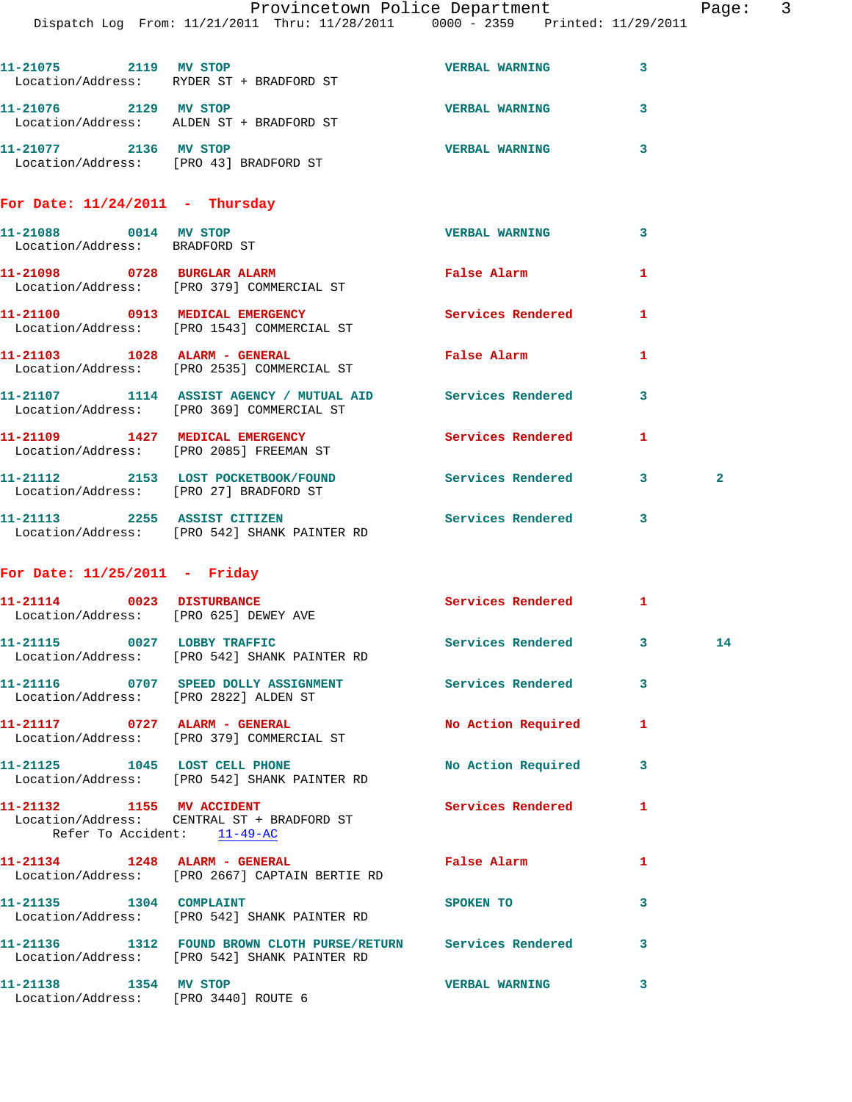|                                                        | Dispatch Log From: 11/21/2011 Thru: 11/28/2011 0000 - 2359 Printed: 11/29/2011                                 |                                 |              |   |
|--------------------------------------------------------|----------------------------------------------------------------------------------------------------------------|---------------------------------|--------------|---|
| 11-21075 2119 MV STOP                                  | Location/Address: RYDER ST + BRADFORD ST                                                                       | <b>VERBAL WARNING</b>           | 3            |   |
| 11-21076 2129 MV STOP                                  | Location/Address: ALDEN ST + BRADFORD ST                                                                       | <b>VERBAL WARNING</b>           | 3            |   |
| 11-21077 2136 MV STOP                                  | Location/Address: [PRO 43] BRADFORD ST                                                                         | <b>VERBAL WARNING</b>           | 3            |   |
| For Date: $11/24/2011$ - Thursday                      |                                                                                                                |                                 |              |   |
| 11-21088 0014 MV STOP<br>Location/Address: BRADFORD ST |                                                                                                                | <b>VERBAL WARNING</b>           | 3            |   |
|                                                        | 11-21098 0728 BURGLAR ALARM<br>Location/Address: [PRO 379] COMMERCIAL ST                                       | False Alarm                     | 1            |   |
|                                                        | 11-21100 0913 MEDICAL EMERGENCY<br>Location/Address: [PRO 1543] COMMERCIAL ST                                  | <b>Services Rendered</b>        | 1            |   |
|                                                        | 11-21103 1028 ALARM - GENERAL<br>Location/Address: [PRO 2535] COMMERCIAL ST                                    | False Alarm <b>Example 2</b>    | $\mathbf{1}$ |   |
|                                                        | 11-21107 1114 ASSIST AGENCY / MUTUAL AID Services Rendered<br>Location/Address: [PRO 369] COMMERCIAL ST        |                                 | 3            |   |
|                                                        | 11-21109 1427 MEDICAL EMERGENCY<br>Location/Address: [PRO 2085] FREEMAN ST                                     | <b>Services Rendered</b>        | 1            |   |
|                                                        | 11-21112 2153 LOST POCKETBOOK/FOUND<br>Location/Address: [PRO 27] BRADFORD ST                                  | Services Rendered               | $\mathbf{3}$ | 2 |
|                                                        | 11-21113 2255 ASSIST CITIZEN<br>Location/Address: [PRO 542] SHANK PAINTER RD                                   | Services Rendered 3             |              |   |
| For Date: $11/25/2011$ - Friday                        |                                                                                                                |                                 |              |   |
| Location/Address: [PRO 625] DEWEY AVE                  | 11-21114 0023 DISTURBANCE                                                                                      | Services Rendered 1             |              |   |
|                                                        | 11-21115 0027 LOBBY TRAFFIC<br>Location/Address: [PRO 542] SHANK PAINTER RD                                    | <b>Services Rendered 2</b> 3 14 |              |   |
| Location/Address: [PRO 2822] ALDEN ST                  | 11-21116 0707 SPEED DOLLY ASSIGNMENT Services Rendered                                                         |                                 | 3            |   |
|                                                        | 11-21117 0727 ALARM - GENERAL<br>Location/Address: [PRO 379] COMMERCIAL ST                                     | No Action Required              | 1            |   |
|                                                        | 11-21125 1045 LOST CELL PHONE<br>Location/Address: [PRO 542] SHANK PAINTER RD                                  | No Action Required              | 3            |   |
| 11-21132 1155 MV ACCIDENT                              | Location/Address: CENTRAL ST + BRADFORD ST<br>Refer To Accident: 11-49-AC                                      | Services Rendered               | 1            |   |
|                                                        | Location/Address: [PRO 2667] CAPTAIN BERTIE RD                                                                 | False Alarm                     | 1            |   |
| 11-21135 1304 COMPLAINT                                | Location/Address: [PRO 542] SHANK PAINTER RD                                                                   | SPOKEN TO                       | 3            |   |
|                                                        | 11-21136 1312 FOUND BROWN CLOTH PURSE/RETURN Services Rendered<br>Location/Address: [PRO 542] SHANK PAINTER RD |                                 | 3            |   |
| 11-21138 1354 MV STOP                                  |                                                                                                                | <b>VERBAL WARNING</b>           | 3            |   |

Location/Address: [PRO 3440] ROUTE 6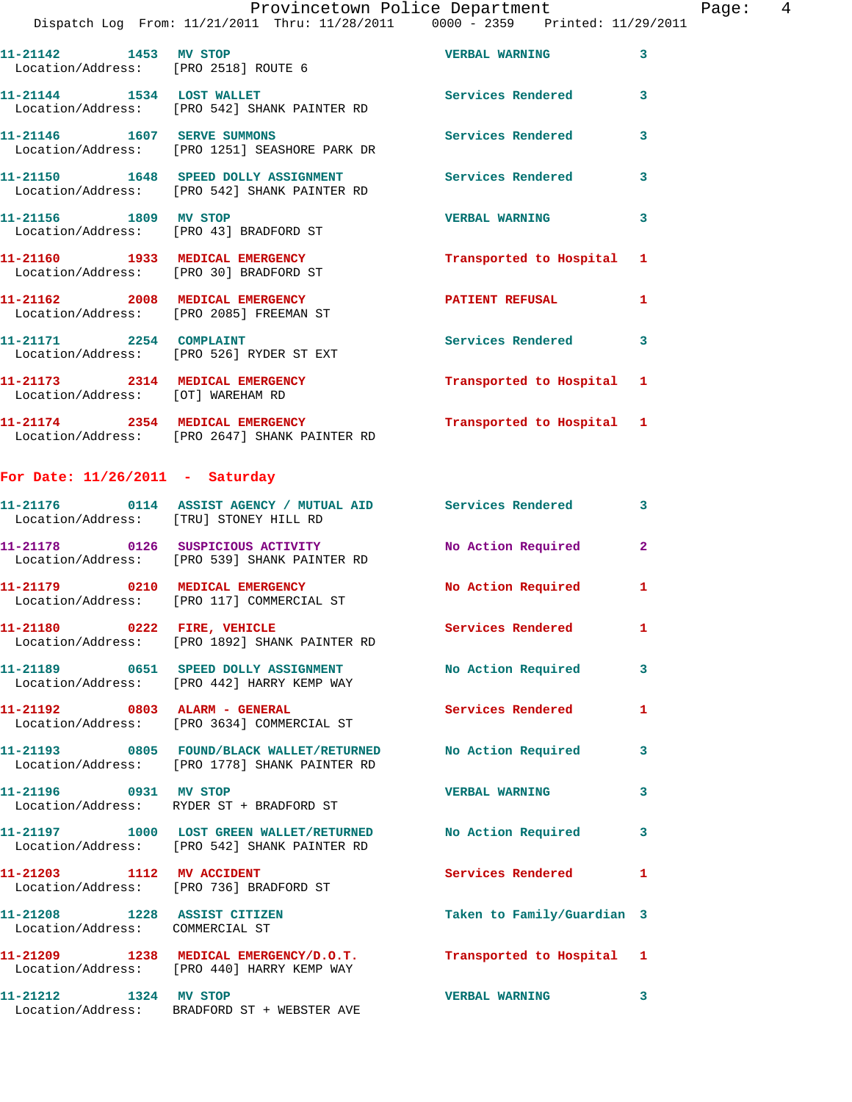Page:  $4$ 

|                                                                      | Provincetown Police Department<br>Dispatch Log From: 11/21/2011 Thru: 11/28/2011 0000 - 2359 Printed: 11/29/2011 |                            |              |
|----------------------------------------------------------------------|------------------------------------------------------------------------------------------------------------------|----------------------------|--------------|
| 11-21142 1453 MV STOP<br>Location/Address: [PRO 2518] ROUTE 6        |                                                                                                                  | <b>VERBAL WARNING</b>      | 3            |
| 11-21144 1534 LOST WALLET                                            | Location/Address: [PRO 542] SHANK PAINTER RD                                                                     | Services Rendered          | 3            |
| 11-21146   1607 SERVE SUMMONS                                        | Location/Address: [PRO 1251] SEASHORE PARK DR                                                                    | <b>Services Rendered</b>   | 3            |
|                                                                      | 11-21150 1648 SPEED DOLLY ASSIGNMENT<br>Location/Address: [PRO 542] SHANK PAINTER RD                             | <b>Services Rendered</b>   | 3            |
| 11-21156 1809 MV STOP                                                | Location/Address: [PRO 43] BRADFORD ST                                                                           | <b>VERBAL WARNING</b>      | 3            |
|                                                                      | 11-21160 1933 MEDICAL EMERGENCY<br>Location/Address: [PRO 30] BRADFORD ST                                        | Transported to Hospital    | 1            |
| Location/Address: [PRO 2085] FREEMAN ST                              | 11-21162 2008 MEDICAL EMERGENCY                                                                                  | PATIENT REFUSAL            | 1            |
| 11-21171 2254 COMPLAINT                                              | Location/Address: [PRO 526] RYDER ST EXT                                                                         | <b>Services Rendered</b>   | 3            |
| 11-21173 2314 MEDICAL EMERGENCY<br>Location/Address: [OT] WAREHAM RD |                                                                                                                  | Transported to Hospital    | 1            |
|                                                                      | 11-21174 2354 MEDICAL EMERGENCY<br>Location/Address: [PRO 2647] SHANK PAINTER RD                                 | Transported to Hospital 1  |              |
| For Date: $11/26/2011$ - Saturday                                    |                                                                                                                  |                            |              |
| Location/Address: [TRU] STONEY HILL RD                               | 11-21176   0114   ASSIST AGENCY / MUTUAL AID   Services Rendered                                                 |                            | 3            |
|                                                                      | 11-21178 0126 SUSPICIOUS ACTIVITY<br>Location/Address: [PRO 539] SHANK PAINTER RD                                | No Action Required         | $\mathbf{2}$ |
| 11-21179 0210 MEDICAL EMERGENCY                                      | Location/Address: [PRO 117] COMMERCIAL ST                                                                        | No Action Required         | 1            |
| 11-21180 0222 FIRE, VEHICLE                                          | Location/Address: [PRO 1892] SHANK PAINTER RD                                                                    | <b>Services Rendered</b>   | 1            |
|                                                                      | 11-21189 0651 SPEED DOLLY ASSIGNMENT<br>Location/Address: [PRO 442] HARRY KEMP WAY                               | No Action Required         | 3            |
|                                                                      | 11-21192 0803 ALARM - GENERAL<br>Location/Address: [PRO 3634] COMMERCIAL ST                                      | Services Rendered          | 1            |
|                                                                      | 11-21193 0805 FOUND/BLACK WALLET/RETURNED No Action Required<br>Location/Address: [PRO 1778] SHANK PAINTER RD    |                            | 3            |
| 11-21196 0931 MV STOP                                                | Location/Address: RYDER ST + BRADFORD ST                                                                         | <b>VERBAL WARNING</b>      | 3            |
|                                                                      | 11-21197 1000 LOST GREEN WALLET/RETURNED No Action Required<br>Location/Address: [PRO 542] SHANK PAINTER RD      |                            | 3            |
| 11-21203 1112 MV ACCIDENT<br>Location/Address: [PRO 736] BRADFORD ST |                                                                                                                  | <b>Services Rendered</b>   | 1            |
| 11-21208 1228 ASSIST CITIZEN<br>Location/Address: COMMERCIAL ST      |                                                                                                                  | Taken to Family/Guardian 3 |              |
|                                                                      | 11-21209 1238 MEDICAL EMERGENCY/D.O.T.<br>Location/Address: [PRO 440] HARRY KEMP WAY                             | Transported to Hospital 1  |              |

**11-21212 1324 MV STOP VERBAL WARNING 3**  Location/Address: BRADFORD ST + WEBSTER AVE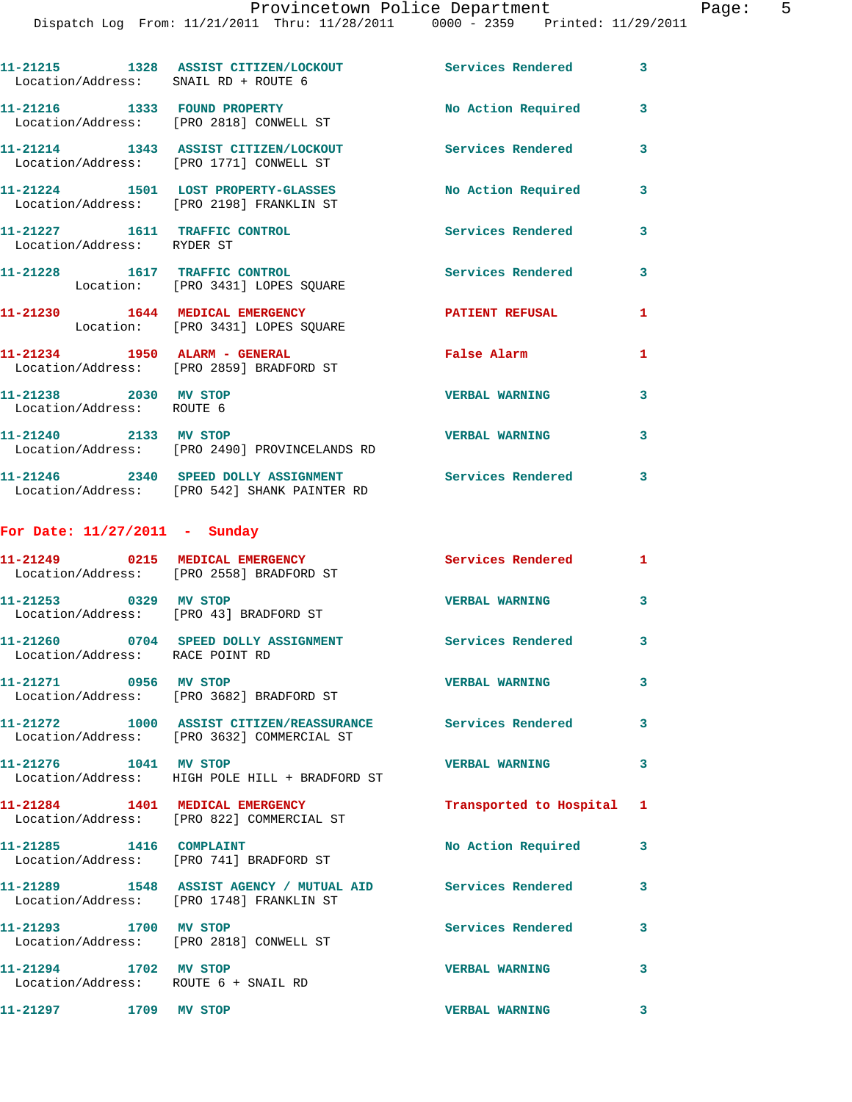## Provincetown Police Department The Page: 5

Dispatch Log From: 11/21/2011 Thru: 11/28/2011 0000 - 2359 Printed: 11/29/2011

| 11-21215 1328 ASSIST CITIZEN/LOCKOUT Services Rendered 3<br>Location/Address: SNAIL RD + ROUTE 6<br>11-21216 1333 FOUND PROPERTY<br>No Action Required 3<br>Location/Address: [PRO 2818] CONWELL ST<br>11-21214 1343 ASSIST CITIZEN/LOCKOUT Services Rendered<br>Location/Address: [PRO 1771] CONWELL ST<br>11-21224 1501 LOST PROPERTY-GLASSES<br>No Action Required<br>Location/Address: [PRO 2198] FRANKLIN ST<br>11-21227 1611 TRAFFIC CONTROL<br><b>Services Rendered</b><br>Location/Address: RYDER ST<br>11-21228 1617 TRAFFIC CONTROL<br><b>Services Rendered</b><br>Location: [PRO 3431] LOPES SQUARE<br>11-21230 1644 MEDICAL EMERGENCY<br>PATIENT REFUSAL<br>Location: [PRO 3431] LOPES SQUARE<br>11-21234 1950 ALARM - GENERAL<br>False Alarm<br>Location/Address: [PRO 2859] BRADFORD ST<br>11-21238 2030 MV STOP<br><b>VERBAL WARNING</b><br>Location/Address: ROUTE 6<br>11-21240 2133 MV STOP<br><b>VERBAL WARNING</b><br>Location/Address: [PRO 2490] PROVINCELANDS RD<br>11-21246 2340 SPEED DOLLY ASSIGNMENT Services Rendered 3<br>Location/Address: [PRO 542] SHANK PAINTER RD<br>For Date: $11/27/2011$ - Sunday<br>11-21249 0215 MEDICAL EMERGENCY<br>Services Rendered 1<br>Location/Address: [PRO 2558] BRADFORD ST | $DIDPQCDII$ $DQQ$ $ILOIII$ , $I1/ZI$ , $I2QII$ $IIIIQ$ , $I1/QQ$ , $I1QQ$ |                         |
|----------------------------------------------------------------------------------------------------------------------------------------------------------------------------------------------------------------------------------------------------------------------------------------------------------------------------------------------------------------------------------------------------------------------------------------------------------------------------------------------------------------------------------------------------------------------------------------------------------------------------------------------------------------------------------------------------------------------------------------------------------------------------------------------------------------------------------------------------------------------------------------------------------------------------------------------------------------------------------------------------------------------------------------------------------------------------------------------------------------------------------------------------------------------------------------------------------------------------------------------|---------------------------------------------------------------------------|-------------------------|
|                                                                                                                                                                                                                                                                                                                                                                                                                                                                                                                                                                                                                                                                                                                                                                                                                                                                                                                                                                                                                                                                                                                                                                                                                                              |                                                                           |                         |
|                                                                                                                                                                                                                                                                                                                                                                                                                                                                                                                                                                                                                                                                                                                                                                                                                                                                                                                                                                                                                                                                                                                                                                                                                                              |                                                                           |                         |
|                                                                                                                                                                                                                                                                                                                                                                                                                                                                                                                                                                                                                                                                                                                                                                                                                                                                                                                                                                                                                                                                                                                                                                                                                                              |                                                                           | 3                       |
|                                                                                                                                                                                                                                                                                                                                                                                                                                                                                                                                                                                                                                                                                                                                                                                                                                                                                                                                                                                                                                                                                                                                                                                                                                              |                                                                           | $\overline{\mathbf{3}}$ |
|                                                                                                                                                                                                                                                                                                                                                                                                                                                                                                                                                                                                                                                                                                                                                                                                                                                                                                                                                                                                                                                                                                                                                                                                                                              |                                                                           | 3                       |
|                                                                                                                                                                                                                                                                                                                                                                                                                                                                                                                                                                                                                                                                                                                                                                                                                                                                                                                                                                                                                                                                                                                                                                                                                                              |                                                                           | 3                       |
|                                                                                                                                                                                                                                                                                                                                                                                                                                                                                                                                                                                                                                                                                                                                                                                                                                                                                                                                                                                                                                                                                                                                                                                                                                              |                                                                           | $\mathbf{1}$            |
|                                                                                                                                                                                                                                                                                                                                                                                                                                                                                                                                                                                                                                                                                                                                                                                                                                                                                                                                                                                                                                                                                                                                                                                                                                              |                                                                           | $\mathbf{1}$            |
|                                                                                                                                                                                                                                                                                                                                                                                                                                                                                                                                                                                                                                                                                                                                                                                                                                                                                                                                                                                                                                                                                                                                                                                                                                              |                                                                           | 3                       |
|                                                                                                                                                                                                                                                                                                                                                                                                                                                                                                                                                                                                                                                                                                                                                                                                                                                                                                                                                                                                                                                                                                                                                                                                                                              |                                                                           | 3                       |
|                                                                                                                                                                                                                                                                                                                                                                                                                                                                                                                                                                                                                                                                                                                                                                                                                                                                                                                                                                                                                                                                                                                                                                                                                                              |                                                                           |                         |
|                                                                                                                                                                                                                                                                                                                                                                                                                                                                                                                                                                                                                                                                                                                                                                                                                                                                                                                                                                                                                                                                                                                                                                                                                                              |                                                                           |                         |
|                                                                                                                                                                                                                                                                                                                                                                                                                                                                                                                                                                                                                                                                                                                                                                                                                                                                                                                                                                                                                                                                                                                                                                                                                                              |                                                                           |                         |

| 11-21253 0329 MV STOP<br>Location/Address: [PRO 43] BRADFORD ST |                                                                                                                                            | <b>VERBAL WARNING</b>     | $\mathbf{3}$ |
|-----------------------------------------------------------------|--------------------------------------------------------------------------------------------------------------------------------------------|---------------------------|--------------|
| Location/Address: RACE POINT RD                                 |                                                                                                                                            | Services Rendered         | $\mathbf{3}$ |
|                                                                 | 11-21271 0956 MV STOP<br>Location/Address: [PRO 3682] BRADFORD ST                                                                          | <b>VERBAL WARNING</b>     | $\mathbf{3}$ |
|                                                                 | 11-21272 1000 ASSIST CITIZEN/REASSURANCE Services Rendered<br>Location/Address: [PRO 3632] COMMERCIAL ST                                   |                           | $\mathbf{3}$ |
| 11-21276 1041 MV STOP                                           | Location/Address: HIGH POLE HILL + BRADFORD ST                                                                                             | <b>VERBAL WARNING</b>     | $\mathbf{3}$ |
|                                                                 | 11-21284 1401 MEDICAL EMERGENCY<br>Location/Address: [PRO 822] COMMERCIAL ST                                                               | Transported to Hospital 1 |              |
|                                                                 | Location/Address: [PRO 741] BRADFORD ST                                                                                                    | No Action Required        | $\mathbf{3}$ |
|                                                                 | 11-21289               1548    ASSIST AGENCY  /  MUTUAL  AID                Services  Rendered<br>Location/Address: [PRO 1748] FRANKLIN ST |                           | $\mathbf{3}$ |
| 11-21293 1700 MV STOP                                           | Location/Address: [PRO 2818] CONWELL ST                                                                                                    | <b>Services Rendered</b>  | 3            |
| 11-21294 1702 MV STOP<br>Location/Address: ROUTE 6 + SNAIL RD   |                                                                                                                                            | <b>VERBAL WARNING</b>     | 3            |
| 11-21297 1709 MV STOP                                           |                                                                                                                                            | <b>VERBAL WARNING</b>     | 3            |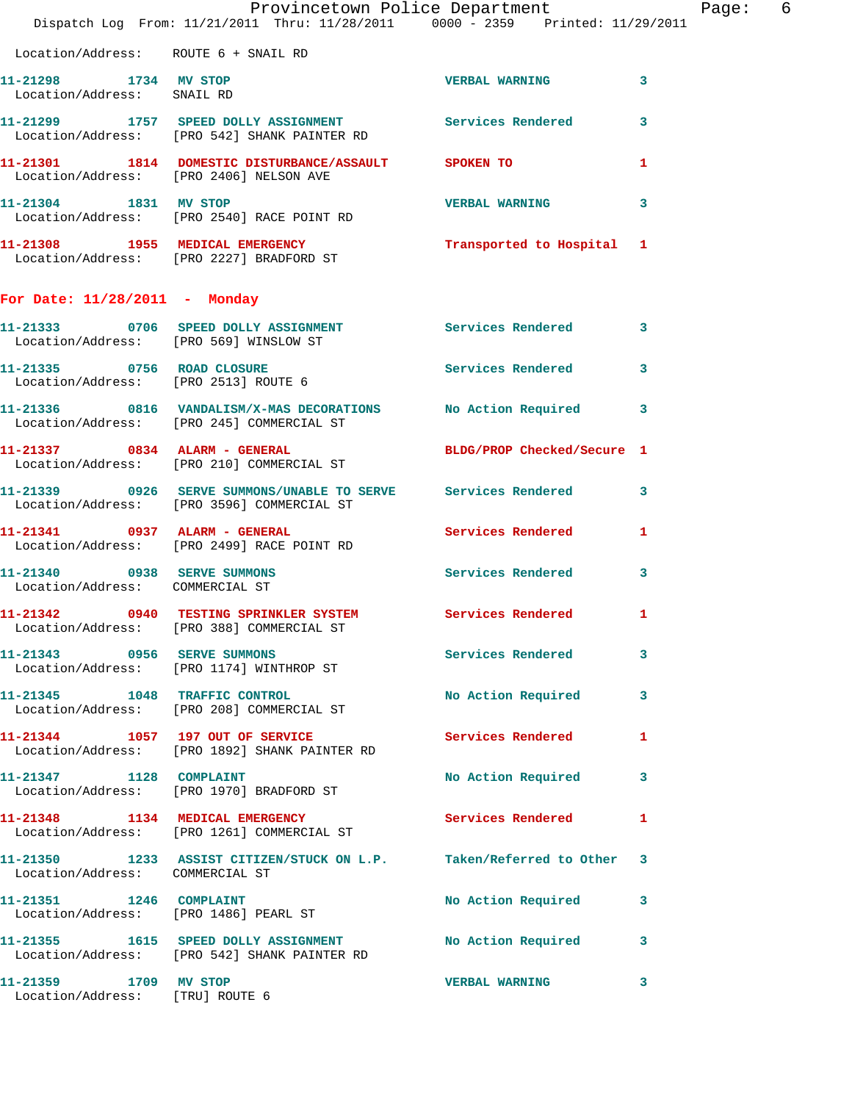|                                                                | Dispatch Log From: 11/21/2011 Thru: 11/28/2011 0000 - 2359 Printed: 11/29/2011                                | Provincetown Police Department | Page: 6      |
|----------------------------------------------------------------|---------------------------------------------------------------------------------------------------------------|--------------------------------|--------------|
| Location/Address: ROUTE 6 + SNAIL RD                           |                                                                                                               |                                |              |
| 11-21298 1734 MV STOP<br>Location/Address: SNAIL RD            |                                                                                                               | <b>VERBAL WARNING</b>          | $\mathbf{3}$ |
|                                                                | 11-21299 1757 SPEED DOLLY ASSIGNMENT Services Rendered 3<br>Location/Address: [PRO 542] SHANK PAINTER RD      |                                |              |
| Location/Address: [PRO 2406] NELSON AVE                        | 11-21301 1814 DOMESTIC DISTURBANCE/ASSAULT SPOKEN TO                                                          |                                | $\mathbf{1}$ |
|                                                                | 11-21304 1831 MV STOP<br>Location/Address: [PRO 2540] RACE POINT RD                                           | VERBAL WARNING 3               |              |
|                                                                | 11-21308 1955 MEDICAL EMERGENCY 1 Transported to Hospital 1<br>Location/Address: [PRO 2227] BRADFORD ST       |                                |              |
| For Date: $11/28/2011$ - Monday                                |                                                                                                               |                                |              |
|                                                                | 11-21333 0706 SPEED DOLLY ASSIGNMENT Services Rendered 3<br>Location/Address: [PRO 569] WINSLOW ST            |                                |              |
| Location/Address: [PRO 2513] ROUTE 6                           | 11-21335 0756 ROAD CLOSURE                                                                                    | Services Rendered 3            |              |
|                                                                | 11-21336 0816 VANDALISM/X-MAS DECORATIONS No Action Required 3<br>Location/Address: [PRO 245] COMMERCIAL ST   |                                |              |
|                                                                | 11-21337 0834 ALARM - GENERAL<br>Location/Address: [PRO 210] COMMERCIAL ST                                    | BLDG/PROP Checked/Secure 1     |              |
|                                                                | 11-21339 0926 SERVE SUMMONS/UNABLE TO SERVE Services Rendered 3<br>Location/Address: [PRO 3596] COMMERCIAL ST |                                |              |
|                                                                | 11-21341 0937 ALARM - GENERAL<br>Location/Address: [PRO 2499] RACE POINT RD                                   | Services Rendered 1            |              |
| 11-21340 0938 SERVE SUMMONS<br>Location/Address: COMMERCIAL ST |                                                                                                               | Services Rendered 3            |              |
|                                                                | 11-21342 0940 TESTING SPRINKLER SYSTEM Services Rendered 1<br>Location/Address: [PRO 388] COMMERCIAL ST       |                                |              |
|                                                                | 11-21343 0956 SERVE SUMMONS<br>Location/Address: [PRO 1174] WINTHROP ST                                       | Services Rendered 3            |              |
|                                                                | 11-21345 1048 TRAFFIC CONTROL<br>Location/Address: [PRO 208] COMMERCIAL ST                                    | No Action Required 3           |              |
|                                                                | 11-21344 1057 197 OUT OF SERVICE Services Rendered 1<br>Location/Address: [PRO 1892] SHANK PAINTER RD         |                                |              |
|                                                                | 11-21347 1128 COMPLAINT<br>Location/Address: [PRO 1970] BRADFORD ST                                           | No Action Required 3           |              |
|                                                                | 11-21348 1134 MEDICAL EMERGENCY Services Rendered 1<br>Location/Address: [PRO 1261] COMMERCIAL ST             |                                |              |
| Location/Address: COMMERCIAL ST                                | 11-21350 1233 ASSIST CITIZEN/STUCK ON L.P. Taken/Referred to Other 3                                          |                                |              |
| 11-21351 1246 COMPLAINT                                        | Location/Address: [PRO 1486] PEARL ST                                                                         | No Action Required 3           |              |
|                                                                | 11-21355 1615 SPEED DOLLY ASSIGNMENT No Action Required 3<br>Location/Address: [PRO 542] SHANK PAINTER RD     |                                |              |
| 11-21359 1709 MV STOP<br>Location/Address: [TRU] ROUTE 6       |                                                                                                               | <b>VERBAL WARNING</b>          | 3            |